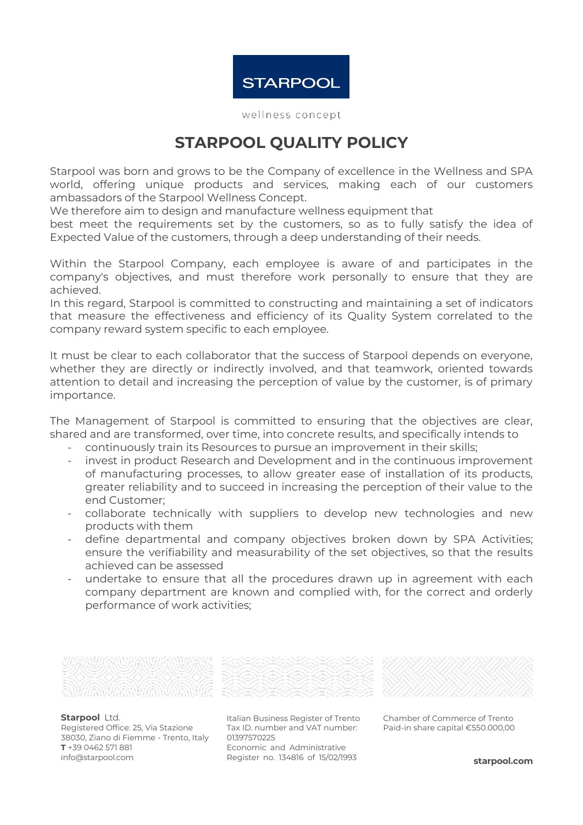

wellness concept

## **STARPOOL QUALITY POLICY**

Starpool was born and grows to be the Company of excellence in the Wellness and SPA world, offering unique products and services, making each of our customers ambassadors of the Starpool Wellness Concept.

We therefore aim to design and manufacture wellness equipment that

best meet the requirements set by the customers, so as to fully satisfy the idea of Expected Value of the customers, through a deep understanding of their needs.

Within the Starpool Company, each employee is aware of and participates in the company's objectives, and must therefore work personally to ensure that they are achieved.

In this regard, Starpool is committed to constructing and maintaining a set of indicators that measure the effectiveness and efficiency of its Quality System correlated to the company reward system specific to each employee.

It must be clear to each collaborator that the success of Starpool depends on everyone, whether they are directly or indirectly involved, and that teamwork, oriented towards attention to detail and increasing the perception of value by the customer, is of primary importance.

The Management of Starpool is committed to ensuring that the objectives are clear, shared and are transformed, over time, into concrete results, and specifically intends to

- continuously train its Resources to pursue an improvement in their skills;
- invest in product Research and Development and in the continuous improvement of manufacturing processes, to allow greater ease of installation of its products, greater reliability and to succeed in increasing the perception of their value to the end Customer;
- collaborate technically with suppliers to develop new technologies and new products with them
- define departmental and company objectives broken down by SPA Activities; ensure the verifiability and measurability of the set objectives, so that the results achieved can be assessed
- undertake to ensure that all the procedures drawn up in agreement with each company department are known and complied with, for the correct and orderly performance of work activities;



**Starpool** Ltd. Registered Office: 25, Via Stazione 38030, Ziano di Fiemme - Trento, Italy **T** +39 0462 571 881 [info@starpool.com](mailto:info@starpool.com)



Italian Business Register of Trento Tax ID. number and VAT number: 01397570225 Economic and Administrative Register no. 134816 of 15/02/1993

Chamber of Commerce of Trento Paid-in share capital €550.000,00

**starpool.com**